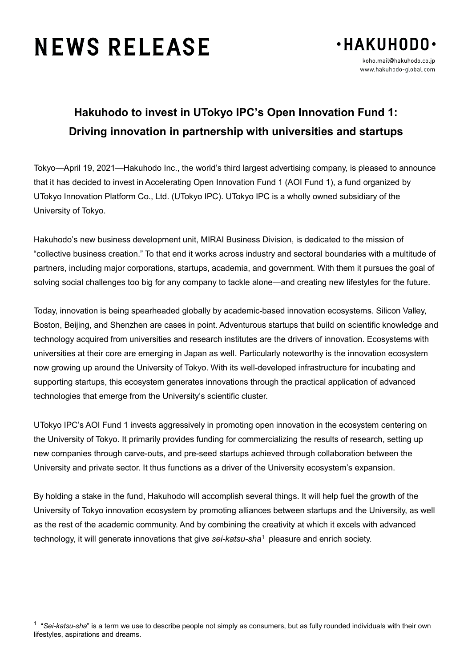# **NEWS RELEASE**



# **Hakuhodo to invest in UTokyo IPC's Open Innovation Fund 1: Driving innovation in partnership with universities and startups**

Tokyo—April 19, 2021—Hakuhodo Inc., the world's third largest advertising company, is pleased to announce that it has decided to invest in Accelerating Open Innovation Fund 1 (AOI Fund 1), a fund organized by UTokyo Innovation Platform Co., Ltd. (UTokyo IPC). UTokyo IPC is a wholly owned subsidiary of the University of Tokyo.

Hakuhodo's new business development unit, MIRAI Business Division, is dedicated to the mission of "collective business creation." To that end it works across industry and sectoral boundaries with a multitude of partners, including major corporations, startups, academia, and government. With them it pursues the goal of solving social challenges too big for any company to tackle alone—and creating new lifestyles for the future.

Today, innovation is being spearheaded globally by academic-based innovation ecosystems. Silicon Valley, Boston, Beijing, and Shenzhen are cases in point. Adventurous startups that build on scientific knowledge and technology acquired from universities and research institutes are the drivers of innovation. Ecosystems with universities at their core are emerging in Japan as well. Particularly noteworthy is the innovation ecosystem now growing up around the University of Tokyo. With its well-developed infrastructure for incubating and supporting startups, this ecosystem generates innovations through the practical application of advanced technologies that emerge from the University's scientific cluster.

UTokyo IPC's AOI Fund 1 invests aggressively in promoting open innovation in the ecosystem centering on the University of Tokyo. It primarily provides funding for commercializing the results of research, setting up new companies through carve-outs, and pre-seed startups achieved through collaboration between the University and private sector. It thus functions as a driver of the University ecosystem's expansion.

By holding a stake in the fund, Hakuhodo will accomplish several things. It will help fuel the growth of the University of Tokyo innovation ecosystem by promoting alliances between startups and the University, as well as the rest of the academic community. And by combining the creativity at which it excels with advanced technology, it will generate innovations that give *sei-katsu-sha*[1](#page-0-0) pleasure and enrich society.

 $\overline{a}$ 

<span id="page-0-0"></span><sup>1</sup> "*Sei-katsu-sha*" is a term we use to describe people not simply as consumers, but as fully rounded individuals with their own lifestyles, aspirations and dreams.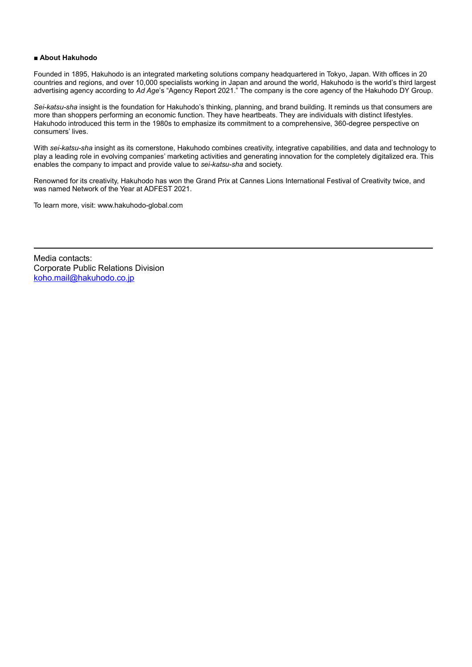#### ■ **About Hakuhodo**

Founded in 1895, Hakuhodo is an integrated marketing solutions company headquartered in Tokyo, Japan. With offices in 20 countries and regions, and over 10,000 specialists working in Japan and around the world, Hakuhodo is the world's third largest advertising agency according to *Ad Age*'s "Agency Report 2021." The company is the core agency of the Hakuhodo DY Group.

*Sei-katsu-sha* insight is the foundation for Hakuhodo's thinking, planning, and brand building. It reminds us that consumers are more than shoppers performing an economic function. They have heartbeats. They are individuals with distinct lifestyles. Hakuhodo introduced this term in the 1980s to emphasize its commitment to a comprehensive, 360-degree perspective on consumers' lives.

With *sei-katsu-sha* insight as its cornerstone, Hakuhodo combines creativity, integrative capabilities, and data and technology to play a leading role in evolving companies' marketing activities and generating innovation for the completely digitalized era. This enables the company to impact and provide value to *sei-katsu-sha* and society.

Renowned for its creativity, Hakuhodo has won the Grand Prix at Cannes Lions International Festival of Creativity twice, and was named Network of the Year at ADFEST 2021.

To learn more, visit: www.hakuhodo-global.com

Media contacts: Corporate Public Relations Division [koho.mail@hakuhodo.co.jp](mailto:koho.mail@hakuhodo.co.jp)